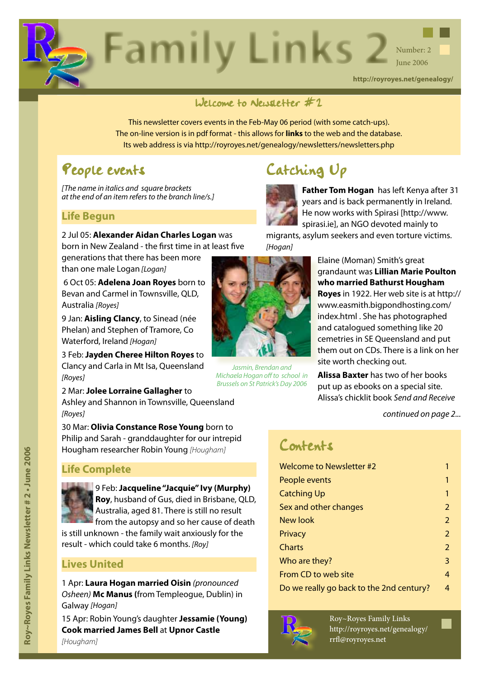

### Welcome to Newsletter #2

This newsletter covers events in the Feb-May 06 period (with some catch-ups). The on-line version is in pdf format - this allows for **links** to the web and the database. Its web address is via http://royroyes.net/genealogy/newsletters/newsletters.php

### People events

*[The name in italics and square brackets at the end of an item refers to the branch line/s.]*

#### **Life Begun**

### 2 Jul 05: **[Alexander Aidan Charles Logan](http://royroyes.net/genealogy/getperson.php?personID=I4865&tree=rr_tree)** was

born in New Zealand - the first time in at least five

generations that there has been more than one male Logan *[Logan]*

 6 Oct 05: **[Adelena Joan Royes](http://royroyes.net/genealogy/getperson.php?personID=I4878&tree=rr_tree)** born to Bevan and Carmel in Townsville, QLD, Australia *[Royes]*

9 Jan: **[Aisling Clancy](http://royroyes.net/genealogy/getperson.php?personID=I4870&tree=rr_tree)**, to Sinead (née Phelan) and Stephen of Tramore, Co Waterford, Ireland *[Hogan]*

3 Feb: **[Jayden Cheree Hilton Royes](http://royroyes.net/genealogy/getperson.php?personID=I4902&tree=rr_tree)** to Clancy and Carla in Mt Isa, Queensland *[Royes]*

#### 2 Mar: **[Jolee Lorraine Gallagher](http://royroyes.net/genealogy/getperson.php?personID=I4900&tree=rr_tree)** to

Ashley and Shannon in Townsville, Queensland *[Royes]*

30 Mar: **[Olivia Constance Rose Young](http://royroyes.net/genealogy/getperson.php?personID=I4904&tree=rr_tree)** born to Philip and Sarah - granddaughter for our intrepid Hougham researcher Robin Young *[Hougham]*

### **Life Complete**

#### 9 Feb: **[Jacqueline "Jacquie" Ivy \(Murphy\)](http://royroyes.net/genealogy/getperson.php?personID=I703&tree=rr_tree)**

**[Roy](http://royroyes.net/genealogy/getperson.php?personID=I703&tree=rr_tree)**, husband of Gus, died in Brisbane, QLD, Australia, aged 81. There is still no result **from the autopsy and so her cause of death** is still unknown - the family wait anxiously for the

result - which could take 6 months. *[Roy]*

#### **Lives United**

1 Apr: **[Laura Hogan married Oisin](http://royroyes.net/genealogy/familygroup.php?familyID=F419&tree=rr_tree)** *(pronounced Osheen)* **[Mc Manus](http://royroyes.net/genealogy/familygroup.php?familyID=F419&tree=rr_tree) (**from Templeogue, Dublin) in Galway *[Hogan]*

15 Apr: Robin Young's daughter **[Jessamie \(Young\)](http://royroyes.net/genealogy/familygroup.php?familyID=F1702&tree=rr_tree)  [Cook married James Bell](http://royroyes.net/genealogy/familygroup.php?familyID=F1702&tree=rr_tree)** at **[Upnor Castle](http://www.theheritagetrail.co.uk/castles/upnor%20castle.htm)**  *[Hougham]*

## Catching Up



**[Father Tom Hogan](http://royroyes.net/genealogy/getperson.php?personID=I456&tree=rr_tree)** has left Kenya after 31 years and is back permanently in Ireland. He now works with Spirasi [http://www. spirasi.ie], an NGO devoted mainly to

migrants, asylum seekers and even torture victims. *[Hogan]*

> Elaine (Moman) Smith's great grandaunt was **[Lillian Marie Poulton](http://royroyes.net/genealogy/familygroup.php?familyID=F484&tree=rr_tree)  [who married Bathurst Hougham](http://royroyes.net/genealogy/familygroup.php?familyID=F484&tree=rr_tree)  [Royes](http://royroyes.net/genealogy/familygroup.php?familyID=F484&tree=rr_tree)** in 1922. Her web site is at http:// www.easmith.bigpondhosting.com/ index.html . She has photographed and catalogued something like 20 cemetries in SE Queensland and put them out on CDs. There is a link on her site worth checking out.

**[Alissa Baxter](http://royroyes.net/genealogy/getperson.php?personID=I3232&tree=rr_tree)** has two of her books put up as ebooks on a special site. Alissa's chicklit book *Send and Receive*

*continued on page 2...*

### Contents

| Welcome to Newsletter #2                 |                |
|------------------------------------------|----------------|
| People events                            | 1              |
| <b>Catching Up</b>                       | 1              |
| Sex and other changes                    | $\overline{2}$ |
| New look                                 | $\overline{2}$ |
| Privacy                                  | 2              |
| Charts                                   | $\overline{2}$ |
| Who are they?                            | 3              |
| From CD to web site                      | 4              |
| Do we really go back to the 2nd century? | 4              |



Roy~Royes Family Links [http://royroyes.net/genealogy/](http://royroyes.net/genealogy/getperson.php?personID=I3232&tree=rr_tree) rrfl@royroyes.net



*Michaela Hogan off to school in Brussels on St Patrick's Day 2006*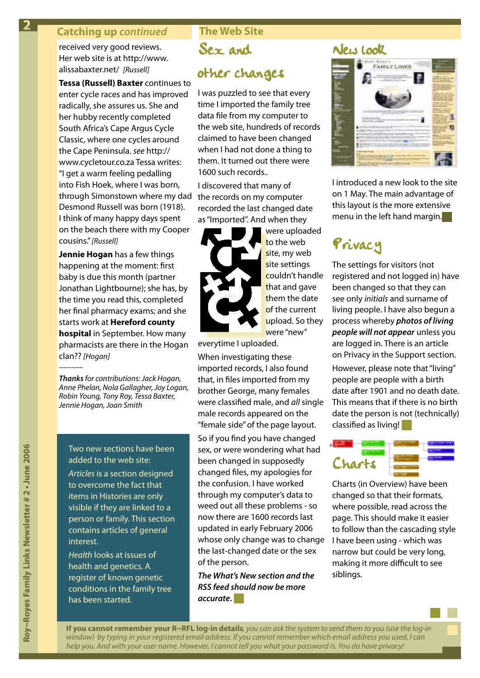#### <span id="page-1-0"></span>**Catching up** *continued*

received very good reviews. Her web site is at http://www. alissabaxter.net/ *[Russell]*

**[Tessa \(Russell\) Baxter](http://royroyes.net/genealogy/getperson.php?personID=I1110&tree=rr_tree)** continues to enter cycle races and has improved radically, she assures us. She and her hubby recently completed South Africa's Cape Argus Cycle Classic, where one cycles around the Cape Peninsula. *see* http:// www.cycletour.co.za Tessa writes: "I get a warm feeling pedalling into Fish Hoek, where I was born, through Simonstown where my dad Desmond Russell was born (1918). I think of many happy days spent on the beach there with my Cooper cousins." *[Russell]*

**[Jennie Hogan](http://royroyes.net/genealogy/getperson.php?personID=I428&tree=rr_tree)** has a few things happening at the moment: first baby is due this month (partner Jonathan Lightbourne); she has, by the time you read this, completed her final pharmacy exams; and she starts work at **[Hereford county](http://www.nhs.uk/England/Hospitals/showHospital.aspx?id=RLQ01)  [hospital](http://www.nhs.uk/England/Hospitals/showHospital.aspx?id=RLQ01)** in September. How many pharmacists are there in the Hogan clan?? *[Hogan]*

*Thanks for contributions: Jack Hogan, Anne Phelan, Nola Gallagher, Joy Logan, Robin Young, Tony Roy, Tessa Baxter, Jennie Hogan, Joan Smith*

*––––––*

Two new sections have been added to the web site:

*Articles* is a section designed to overcome the fact that items in Histories are only visible if they are linked to a person or family. This section contains articles of general interest.

*Health* looks at issues of health and genetics. A register of known genetic conditions in the family tree has been started.

#### **The Web Site**

Sex and

### other changes

I was puzzled to see that every time I imported the family tree data file from my computer to the web site, hundreds of records claimed to have been changed when I had not done a thing to them. It turned out there were 1600 such records..

I discovered that many of the records on my computer recorded the last changed date as "Imported". And when they



were uploaded to the web site, my web site settings couldn't handle that and gave them the date of the current upload. So they were "new"

everytime I uploaded.

When investigating these imported records, I also found that, in files imported from my brother George, many females were classified male, and *all* single male records appeared on the "female side" of the page layout.

So if you find you have changed sex, or were wondering what had been changed in supposedly changed files, my apologies for the confusion. I have worked through my computer's data to weed out all these problems - so now there are 1600 records last updated in early February 2006 whose only change was to change the last-changed date or the sex of the person.

*The What's New section and the RSS feed should now be more accurate***.** 

### New look



I introduced a new look to the site on 1 May. The main advantage of this layout is the more extensive menu in the left hand margin.

## Privacy

The settings for visitors (not registered and not logged in) have been changed so that they can see only *initials* and surname of living people. I have also begun a process whereby *photos of living people will not appear* unless you are logged in. There is an article on [Privacy](http://royroyes.net/genealogy/histories/spt_privacy.php) in the Support section. However, please note that "living" people are people with a birth date after 1901 and no death date. This means that if there is no birth date the person is not (technically) classified as living!



Charts (in Overview) have been changed so that their formats, where possible, read across the page. This should make it easier to follow than the cascading style I have been using - which was narrow but could be very long, making it more difficult to see siblings.

**If you cannot remember your R~RFL log-in details***, you can ask the system to send them to you (use the log-in window) by typing in your registered email address. If you cannot remember which email address you used, I can help you. And with your user name. However, I cannot tell you what your password is. You do have privacy!*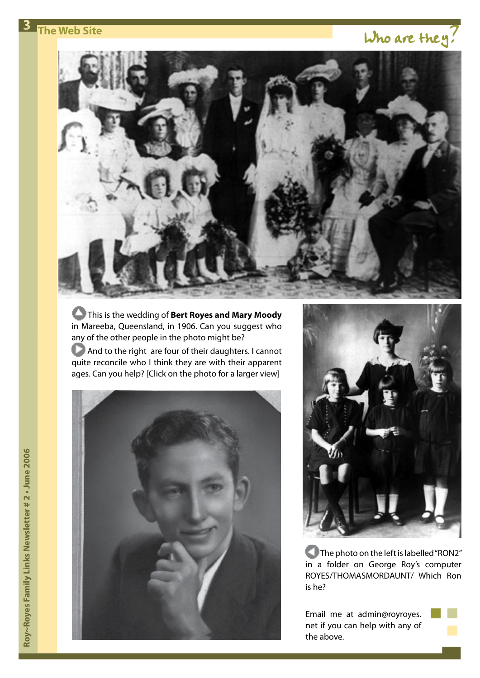# <span id="page-2-0"></span>The Web Site Web Site Who are they?



 This is the wedding of **[Bert Royes and Mary Moody](http://royroyes.net/genealogy/familygroup.php?familyID=F24&tree=rr_tree)** in Mareeba, Queensland, in 1906. Can you suggest who any of the other people in the photo might be?

And to the right are four of their daughters. I cannot quite reconcile who I think they are with their apparent ages. Can you help? [Click on the photo for a larger view]





The photo on the left is labelled "RON2" in a folder on George Roy's computer ROYES/THOMASMORDAUNT/ Which Ron is he?

Email me at admin@royroyes. net if you can help with any of the above.